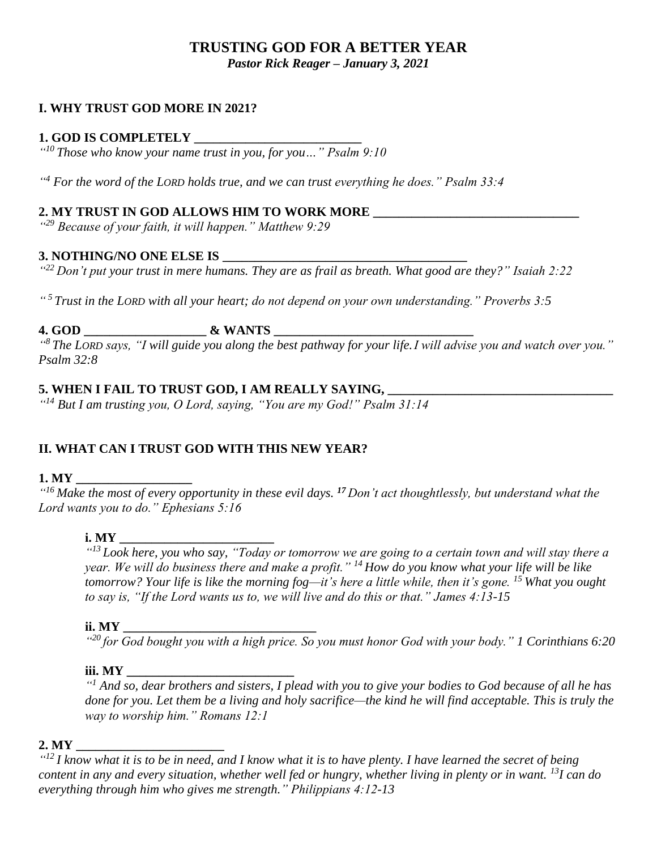# **TRUSTING GOD FOR A BETTER YEAR**

*Pastor Rick Reager – January 3, 2021*

#### **I. WHY TRUST GOD MORE IN 2021?**

#### **1. GOD IS COMPLETELY \_\_\_\_\_\_\_\_\_\_\_\_\_\_\_\_\_\_\_\_\_\_\_\_\_\_**

*" <sup>10</sup> Those who know your name trust in you, for you…" Psalm 9:10*

*" <sup>4</sup> For the word of the LORD holds true, and we can trust everything he does." Psalm 33:4*

#### **2. MY TRUST IN GOD ALLOWS HIM TO WORK MORE \_\_\_\_\_\_\_\_\_\_\_\_\_\_\_\_\_\_\_\_\_\_\_\_\_\_\_\_\_\_\_\_**

*" <sup>29</sup> Because of your faith, it will happen." Matthew 9:29*

#### **3. NOTHING/NO ONE ELSE IS \_\_\_\_\_\_\_\_\_\_\_\_\_\_\_\_\_\_\_\_\_\_\_\_\_\_\_\_\_\_\_\_\_\_\_\_\_\_**

*" <sup>22</sup> Don't put your trust in mere humans. They are as frail as breath. What good are they?" Isaiah 2:22*

*" <sup>5</sup>Trust in the LORD with all your heart; do not depend on your own understanding." Proverbs 3:5*

### **4. GOD \_\_\_\_\_\_\_\_\_\_\_\_\_\_\_\_\_\_\_ & WANTS \_\_\_\_\_\_\_\_\_\_\_\_\_\_\_\_\_\_\_\_\_\_\_\_\_\_\_\_\_\_\_**

*" <sup>8</sup> The LORD says, "I will guide you along the best pathway for your life.I will advise you and watch over you." Psalm 32:8*

### **5. WHEN I FAIL TO TRUST GOD, I AM REALLY SAYING, \_\_\_\_\_\_\_\_\_\_\_\_\_\_\_\_\_\_\_\_\_\_\_\_\_\_\_\_\_\_\_\_\_\_\_**

*" <sup>14</sup> But I am trusting you, O Lord, saying, "You are my God!" Psalm 31:14*

### **II. WHAT CAN I TRUST GOD WITH THIS NEW YEAR?**

#### **1. MY \_\_\_\_\_\_\_\_\_\_\_\_\_\_\_\_\_\_**

*" <sup>16</sup> Make the most of every opportunity in these evil days. <sup>17</sup> Don't act thoughtlessly, but understand what the Lord wants you to do." Ephesians 5:16*

#### **i.** MY

*" <sup>13</sup> Look here, you who say, "Today or tomorrow we are going to a certain town and will stay there a year. We will do business there and make a profit." <sup>14</sup> How do you know what your life will be like tomorrow? Your life is like the morning fog—it's here a little while, then it's gone. <sup>15</sup> What you ought to say is, "If the Lord wants us to, we will live and do this or that." James 4:13-15*

#### **ii. MY \_\_\_\_\_\_\_\_\_\_\_\_\_\_\_\_\_\_\_\_\_\_\_\_\_\_\_\_\_\_**

*" <sup>20</sup> for God bought you with a high price. So you must honor God with your body." 1 Corinthians 6:20*

#### **iii. MY**

*" <sup>1</sup> And so, dear brothers and sisters, I plead with you to give your bodies to God because of all he has done for you. Let them be a living and holy sacrifice—the kind he will find acceptable. This is truly the way to worship him." Romans 12:1*

#### **2. MY \_\_\_\_\_\_\_\_\_\_\_\_\_\_\_\_\_\_\_\_\_\_\_**

*" <sup>12</sup> I know what it is to be in need, and I know what it is to have plenty. I have learned the secret of being content in any and every situation, whether well fed or hungry, whether living in plenty or in want. <sup>13</sup>I can do everything through him who gives me strength." Philippians 4:12-13*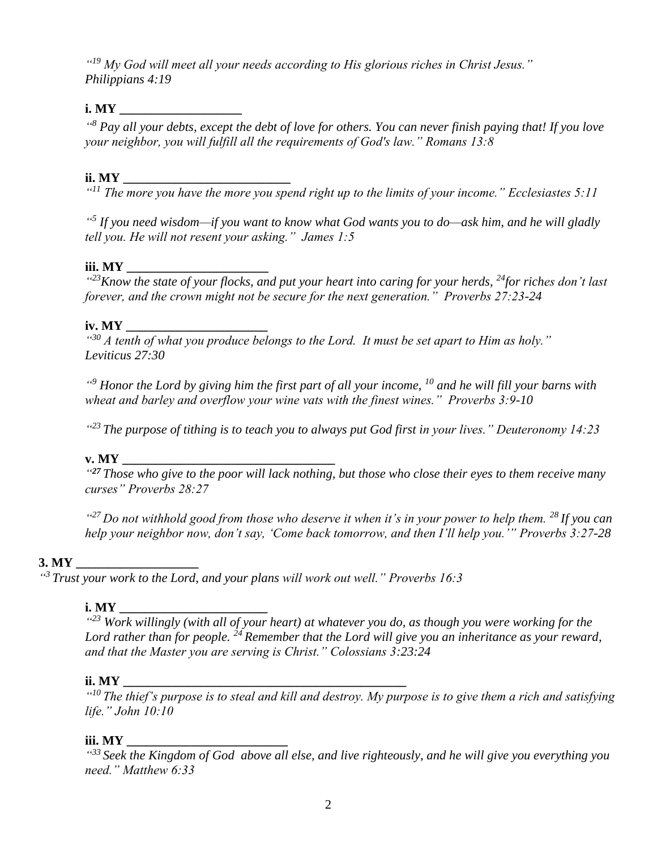*" <sup>19</sup> My God will meet all your needs according to His glorious riches in Christ Jesus." Philippians 4:19*

#### **i.** MY

*" <sup>8</sup> Pay all your debts, except the debt of love for others. You can never finish paying that! If you love your neighbor, you will fulfill all the requirements of God's law." Romans 13:8*

#### **ii. MY \_\_\_\_\_\_\_\_\_\_\_\_\_\_\_\_\_\_\_\_\_\_\_\_\_\_\_\_**

*" <sup>11</sup> The more you have the more you spend right up to the limits of your income." Ecclesiastes 5:11* 

*" 5 If you need wisdom—if you want to know what God wants you to do—ask him, and he will gladly tell you. He will not resent your asking." James 1:5* 

#### **iii.** MY

*" <sup>23</sup>Know the state of your flocks, and put your heart into caring for your herds, <sup>24</sup>for riches don't last forever, and the crown might not be secure for the next generation." Proverbs 27:23-24*

#### $i$ **v.** MY

*" <sup>30</sup> A tenth of what you produce belongs to the Lord. It must be set apart to Him as holy." Leviticus 27:30*

*" <sup>9</sup> Honor the Lord by giving him the first part of all your income, <sup>10</sup> and he will fill your barns with wheat and barley and overflow your wine vats with the finest wines." Proverbs 3:9-10* 

*" <sup>23</sup>The purpose of tithing is to teach you to always put God first in your lives." Deuteronomy 14:23*

#### **v. MY**

*" <sup>27</sup> Those who give to the poor will lack nothing, but those who close their eyes to them receive many curses" Proverbs 28:27*

*" <sup>27</sup>Do not withhold good from those who deserve it when it's in your power to help them. <sup>28</sup>If you can help your neighbor now, don't say, 'Come back tomorrow, and then I'll help you.'" Proverbs 3:27-28*

#### 3. MY

*" <sup>3</sup> Trust your work to the Lord, and your plans will work out well." Proverbs 16:3*

#### **i. MY \_\_\_\_\_\_\_\_\_\_\_\_\_\_\_\_\_\_\_\_\_\_\_**

*" <sup>23</sup> Work willingly (with all of your heart) at whatever you do, as though you were working for the Lord rather than for people. <sup>24</sup> Remember that the Lord will give you an inheritance as your reward, and that the Master you are serving is Christ." Colossians 3:23:24*

#### **ii. MY \_\_\_\_\_\_\_\_\_\_\_\_\_\_\_\_\_\_\_\_\_\_\_\_\_\_\_\_\_\_\_\_\_\_\_\_\_\_\_\_\_\_\_\_**

*" <sup>10</sup> The thief's purpose is to steal and kill and destroy. My purpose is to give them a rich and satisfying life." John 10:10*

#### **iii. MY**

*" <sup>33</sup> Seek the Kingdom of God above all else, and live righteously, and he will give you everything you need." Matthew 6:33*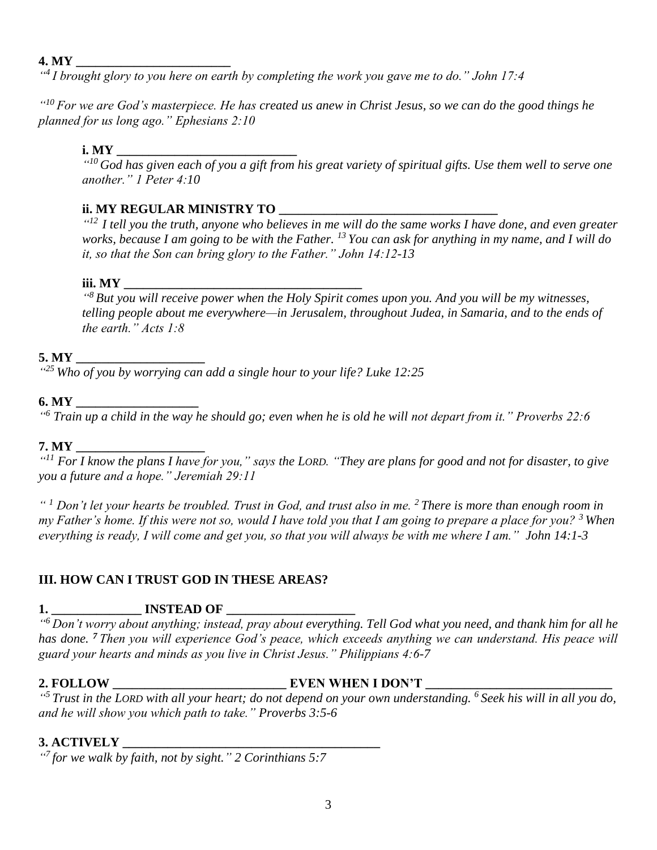#### **4. MY \_\_\_\_\_\_\_\_\_\_\_\_\_\_\_\_\_\_\_\_\_\_\_\_**

*" 4 I brought glory to you here on earth by completing the work you gave me to do." John 17:4*

*" <sup>10</sup> For we are God's masterpiece. He has created us anew in Christ Jesus, so we can do the good things he planned for us long ago." Ephesians 2:10*

#### **i. MY \_\_\_\_\_\_\_\_\_\_\_\_\_\_\_\_\_\_\_\_\_\_\_\_\_\_\_\_**

*" <sup>10</sup> God has given each of you a gift from his great variety of spiritual gifts. Use them well to serve one another." 1 Peter 4:10*

## **ii. MY REGULAR MINISTRY TO \_\_\_\_\_\_\_\_\_\_\_**

*" 12 I tell you the truth, anyone who believes in me will do the same works I have done, and even greater works, because I am going to be with the Father. <sup>13</sup> You can ask for anything in my name, and I will do it, so that the Son can bring glory to the Father." John 14:12-13*

#### **iii.** MY

*" <sup>8</sup> But you will receive power when the Holy Spirit comes upon you. And you will be my witnesses, telling people about me everywhere—in Jerusalem, throughout Judea, in Samaria, and to the ends of the earth." Acts 1:8*

#### **5. MY \_\_\_\_\_\_\_\_\_\_\_\_\_\_\_\_\_\_\_\_**

*" <sup>25</sup> Who of you by worrying can add a single hour to your life? Luke 12:25*

#### **6. MY \_\_\_\_\_\_\_\_\_\_\_\_\_\_\_\_\_\_\_**

*" <sup>6</sup> Train up a child in the way he should go; even when he is old he will not depart from it." Proverbs 22:6*

#### **7. MY \_\_\_\_\_\_\_\_\_\_\_\_\_\_\_\_\_\_\_\_**

*" <sup>11</sup> For I know the plans I have for you," says the LORD. "They are plans for good and not for disaster, to give you a future and a hope." Jeremiah 29:11*

*" <sup>1</sup> Don't let your hearts be troubled. Trust in God, and trust also in me. <sup>2</sup> There is more than enough room in my Father's home. If this were not so, would I have told you that I am going to prepare a place for you? <sup>3</sup> When everything is ready, I will come and get you, so that you will always be with me where I am." John 14:1-3*

### **III. HOW CAN I TRUST GOD IN THESE AREAS?**

## **1. \_\_\_\_\_\_\_\_\_\_\_\_\_\_ INSTEAD OF \_\_\_\_\_\_\_\_\_\_\_\_\_\_\_\_\_\_\_\_**

*" <sup>6</sup> Don't worry about anything; instead, pray about everything. Tell God what you need, and thank him for all he has done. <sup>7</sup> Then you will experience God's peace, which exceeds anything we can understand. His peace will guard your hearts and minds as you live in Christ Jesus." Philippians 4:6-7*

## **2. FOLLOW \_\_\_\_\_\_\_\_\_\_\_\_\_\_\_\_\_\_\_\_\_\_\_\_\_\_\_ EVEN WHEN I DON'T \_\_\_\_\_\_\_\_\_\_\_\_\_\_\_\_\_\_\_\_\_\_\_\_\_\_\_\_\_**

*" <sup>5</sup> Trust in the LORD with all your heart; do not depend on your own understanding. <sup>6</sup> Seek his will in all you do, and he will show you which path to take." Proverbs 3:5-6*

## **3. ACTIVELY \_\_\_\_\_\_\_\_\_\_\_\_\_\_\_\_\_\_\_\_\_\_\_\_\_\_\_\_\_\_\_\_\_\_\_\_\_\_\_\_**

*" 7 for we walk by faith, not by sight." 2 Corinthians 5:7*